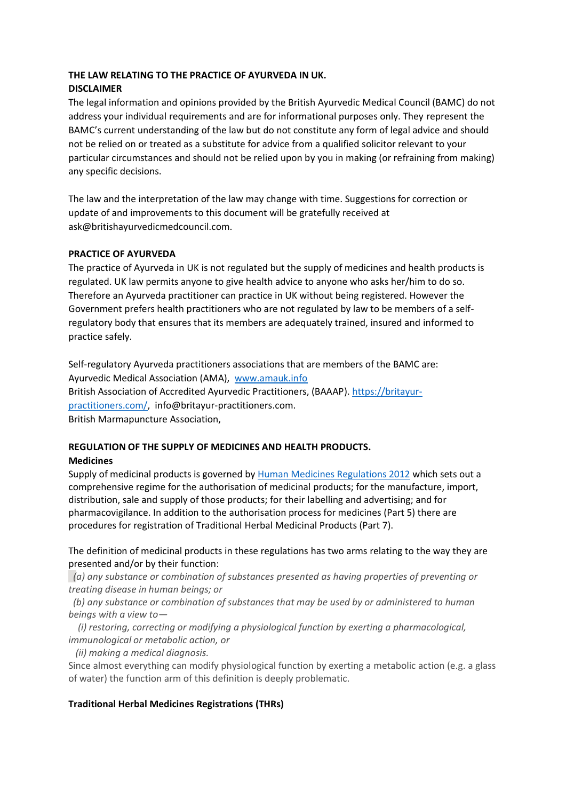# **THE LAW RELATING TO THE PRACTICE OF AYURVEDA IN UK. DISCLAIMER**

The legal information and opinions provided by the British Ayurvedic Medical Council (BAMC) do not address your individual requirements and are for informational purposes only. They represent the BAMC's current understanding of the law but do not constitute any form of legal advice and should not be relied on or treated as a substitute for advice from a qualified solicitor relevant to your particular circumstances and should not be relied upon by you in making (or refraining from making) any specific decisions.

The law and the interpretation of the law may change with time. Suggestions for correction or update of and improvements to this document will be gratefully received at ask@britishayurvedicmedcouncil.com.

### **PRACTICE OF AYURVEDA**

The practice of Ayurveda in UK is not regulated but the supply of medicines and health products is regulated. UK law permits anyone to give health advice to anyone who asks her/him to do so. Therefore an Ayurveda practitioner can practice in UK without being registered. However the Government prefers health practitioners who are not regulated by law to be members of a selfregulatory body that ensures that its members are adequately trained, insured and informed to practice safely.

Self-regulatory Ayurveda practitioners associations that are members of the BAMC are: Ayurvedic Medical Association (AMA), [www.amauk.info](file:///C:/Users/David%20Whitley/Documents/AYURVEDA/BAMC/Secretary/Standard%20replies/www.amauk.info) British Association of Accredited Ayurvedic Practitioners, (BAAAP). [https://britayur](https://britayur-practitioners.com/)[practitioners.com/,](https://britayur-practitioners.com/) info@britayur-practitioners.com. British Marmapuncture Association,

### **REGULATION OF THE SUPPLY OF MEDICINES AND HEALTH PRODUCTS. Medicines**

Supply of medicinal products is governed by [Human Medicines Regulations 2012](https://www.legislation.gov.uk/uksi/2012/1916/contents/made) which sets out a comprehensive regime for the authorisation of medicinal products; for the manufacture, import, distribution, sale and supply of those products; for their labelling and advertising; and for pharmacovigilance. In addition to the authorisation process for medicines (Part 5) there are procedures for registration of Traditional Herbal Medicinal Products (Part 7).

## The definition of medicinal products in these regulations has two arms relating to the way they are presented and/or by their function:

*(a) any substance or combination of substances presented as having properties of preventing or treating disease in human beings; or*

 *(b) any substance or combination of substances that may be used by or administered to human beings with a view to—*

 *(i) restoring, correcting or modifying a physiological function by exerting a pharmacological, immunological or metabolic action, or*

 *(ii) making a medical diagnosis.*

Since almost everything can modify physiological function by exerting a metabolic action (e.g. a glass of water) the function arm of this definition is deeply problematic.

## **Traditional Herbal Medicines Registrations (THRs)**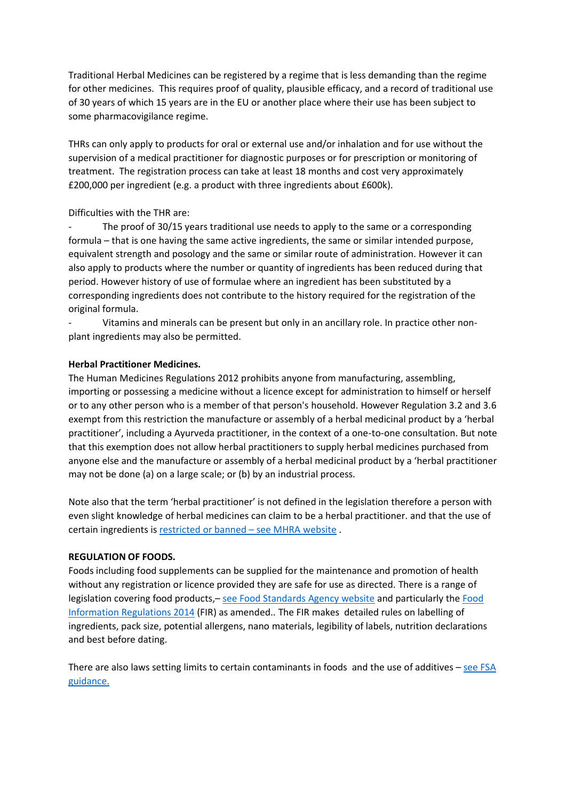Traditional Herbal Medicines can be registered by a regime that is less demanding than the regime for other medicines. This requires proof of quality, plausible efficacy, and a record of traditional use of 30 years of which 15 years are in the EU or another place where their use has been subject to some pharmacovigilance regime.

THRs can only apply to products for oral or external use and/or inhalation and for use without the supervision of a medical practitioner for diagnostic purposes or for prescription or monitoring of treatment. The registration process can take at least 18 months and cost very approximately £200,000 per ingredient (e.g. a product with three ingredients about £600k).

## Difficulties with the THR are:

- The proof of 30/15 years traditional use needs to apply to the same or a corresponding formula – that is one having the same active ingredients, the same or similar intended purpose, equivalent strength and posology and the same or similar route of administration. However it can also apply to products where the number or quantity of ingredients has been reduced during that period. However history of use of formulae where an ingredient has been substituted by a corresponding ingredients does not contribute to the history required for the registration of the original formula.

Vitamins and minerals can be present but only in an ancillary role. In practice other nonplant ingredients may also be permitted.

#### **Herbal Practitioner Medicines.**

The Human Medicines Regulations 2012 prohibits anyone from manufacturing, assembling, importing or possessing a medicine without a licence except for administration to himself or herself or to any other person who is a member of that person's household. However Regulation 3.2 and 3.6 exempt from this restriction the manufacture or assembly of a herbal medicinal product by a 'herbal practitioner', including a Ayurveda practitioner, in the context of a one-to-one consultation. But note that this exemption does not allow herbal practitioners to supply herbal medicines purchased from anyone else and the manufacture or assembly of a herbal medicinal product by a 'herbal practitioner may not be done (a) on a large scale; or (b) by an industrial process.

Note also that the term 'herbal practitioner' is not defined in the legislation therefore a person with even slight knowledge of herbal medicines can claim to be a herbal practitioner. and that the use of certain ingredients is [restricted or banned](https://www.gov.uk/government/publications/list-of-banned-or-restricted-herbal-ingredients-for-medicinal-use/banned-and-restricted-herbal-ingredients) – see MHRA [website](https://www.gov.uk/government/publications/list-of-banned-or-restricted-herbal-ingredients-for-medicinal-use/banned-and-restricted-herbal-ingredients) .

## **REGULATION OF FOODS.**

Foods including food supplements can be supplied for the maintenance and promotion of health without any registration or licence provided they are safe for use as directed. There is a range of legislation covering food products,– [see Food Standards Agency website](ttps://www.food.gov.uk/about-us/key-regulations#food-information-regulation) and particularly th[e Food](https://www.legislation.gov.uk/uksi/2014/1855/contents/made)  [Information Regulations 2014](https://www.legislation.gov.uk/uksi/2014/1855/contents/made) (FIR) as amended.. The FIR makes detailed rules on labelling of ingredients, pack size, potential allergens, nano materials, legibility of labels, nutrition declarations and best before dating.

There are also laws [setting limits to certain contaminants in foods](https://www.food.gov.uk/business-guidance/chemical-contaminants) and the use of additives – [see FSA](https://www.food.gov.uk/business-guidance/chemical-contaminants)  [guidance.](https://www.food.gov.uk/business-guidance/chemical-contaminants)